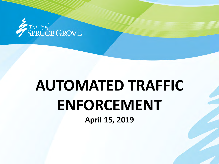

# **AUTOMATED TRAFFIC ENFORCEMENT April 15, 2019**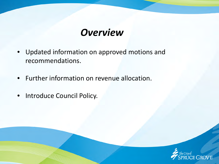### *Overview*

- Updated information on approved motions and recommendations.
- Further information on revenue allocation.
- Introduce Council Policy.

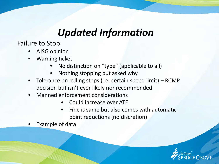Failure to Stop

- AJSG opinion
- Warning ticket
	- No distinction on "type" (applicable to all)
	- Nothing stopping but asked why
- Tolerance on rolling stops (i.e. certain speed limit) RCMP decision but isn't ever likely nor recommended
- Manned enforcement considerations
	- Could increase over ATE
	- Fine is same but also comes with automatic point reductions (no discretion)
- Example of data

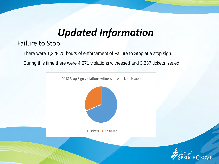#### Failure to Stop

There were 1,228.75 hours of enforcement of **Failure to Stop** at a stop sign.

During this time there were 4,671 violations witnessed and 3,237 tickets issued.



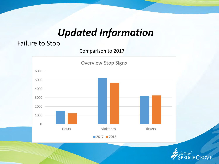#### Failure to Stop

Comparison to 2017



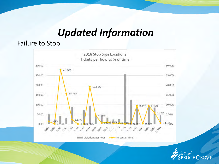#### Failure to Stop



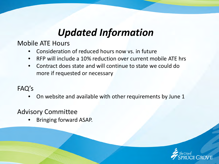Mobile ATE Hours

- Consideration of reduced hours now vs. in future
- RFP will include a 10% reduction over current mobile ATE hrs
- Contract does state and will continue to state we could do more if requested or necessary

#### FAQ's

• On website and available with other requirements by June 1

#### Advisory Committee

• Bringing forward ASAP.

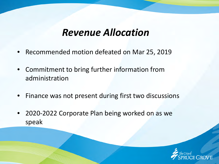- Recommended motion defeated on Mar 25, 2019
- Commitment to bring further information from administration
- Finance was not present during first two discussions
- 2020-2022 Corporate Plan being worked on as we speak

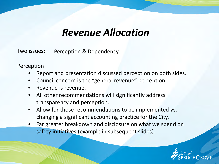Two issues: Perception & Dependency

Perception

- Report and presentation discussed perception on both sides.
- Council concern is the "general revenue" perception.
- Revenue is revenue.
- All other recommendations will significantly address transparency and perception.
- Allow for those recommendations to be implemented vs. changing a significant accounting practice for the City.
- Far greater breakdown and disclosure on what we spend on safety initiatives (example in subsequent slides).

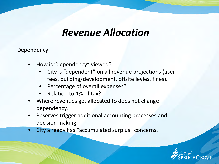- How is "dependency" viewed?
	- City is "dependent" on all revenue projections (user fees, building/development, offsite levies, fines).
	- Percentage of overall expenses?
	- Relation to 1% of tax?
- Where revenues get allocated to does not change dependency.
- Reserves trigger additional accounting processes and decision making.
- City already has "accumulated surplus" concerns.

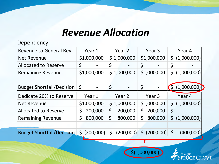| Revenue to General Rev.          | Year 1          | Year <sub>2</sub>              | Year <sub>3</sub>         | Year 4                 |  |
|----------------------------------|-----------------|--------------------------------|---------------------------|------------------------|--|
| <b>Net Revenue</b>               | \$1,000,000     | \$1,000,000                    | \$1,000,000               | (1,000,000)<br>\$      |  |
| <b>Allocated to Reserve</b>      | $\varsigma$     | \$                             | \$                        | \$                     |  |
| <b>Remaining Revenue</b>         | \$1,000,000     | \$1,000,000                    | \$1,000,000               | \$<br>(1,000,000)      |  |
|                                  |                 |                                |                           |                        |  |
| <b>Budget Shortfall/Decision</b> | $\zeta$         | \$<br>$\overline{\phantom{a}}$ | \$                        | (1,000,000)<br>$\zeta$ |  |
| Dedicate 20% to Reserve          | Year 1          | Year 2                         | Year <sub>3</sub>         | Year 4                 |  |
| <b>Net Revenue</b>               | \$1,000,000     | \$1,000,000                    | \$1,000,000               | (1,000,000)<br>\$      |  |
| <b>Allocated to Reserve</b>      | 200,000<br>S    | \$<br>200,000                  | \$<br>200,000             | $\varsigma$            |  |
| <b>Remaining Revenue</b>         | 800,000<br>\$   | \$<br>800,000                  | \$<br>800,000             | \$<br>(1,000,000)      |  |
|                                  |                 |                                |                           |                        |  |
| <b>Budget Shortfall/Decision</b> | \$<br>(200,000) | Ś<br>(200,000)                 | $\mathsf{S}$<br>(200,000) | $\zeta$<br>(400,000)   |  |



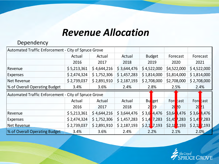| Automated Traffic Enforcement - City of Spruce Grove |             |             |             |                  |                                   |                 |
|------------------------------------------------------|-------------|-------------|-------------|------------------|-----------------------------------|-----------------|
|                                                      | Actual      | Actual      | Actual      | <b>Budget</b>    | Forecast                          | Forecast        |
|                                                      | 2016        | 2017        | 2018        | 2019             | 2020                              | 2021            |
| Revenue                                              | \$5,213,361 | \$4,644,216 | \$3,644,476 | \$4,522,000      | \$4,522,000                       | \$4,522,000     |
| <b>Expenses</b>                                      | \$2,474,324 | \$1,752,306 | \$1,457,283 | \$1,814,000      | \$1,814,000                       | \$1,814,000     |
| Net Revenue                                          | \$2,739,037 | \$2,891,910 | \$2,187,193 | \$2,708,000      | \$2,708,000                       | \$2,708,000     |
| % of Overall Operating Budget                        | 3.4%        | 3.6%        | 2.4%        | 2.8%             | 2.5%                              | 2.4%            |
| Automated Traffic Enforcement - City of Spruce Grove |             |             |             |                  |                                   |                 |
|                                                      |             |             |             |                  |                                   |                 |
|                                                      | Actual      | Actual      | Actual      | <b>Bu</b><br>get | For cast                          | Ford cast       |
|                                                      | 2016        | 2017        | 2018        | <b>19</b>        | 2 <sub>0</sub><br>$\overline{20}$ | 20<br><u>l</u>  |
| Revenue                                              | \$5,213,361 | \$4,644,216 | \$3,644,476 | $$3,6$ 4,476     | \$3,64<br>,476                    | $$3,6$ 4,476    |
| <b>Expenses</b>                                      | \$2,474,324 | \$1,752,306 | \$1,457,283 | \$1,4<br>7,283   | $$1,4$ $7,283$                    | $$1,4$ 7,283    |
| Net Revenue                                          | \$2,739,037 | \$2,891,910 | \$2,187,193 | $$2,1$ 7,193     | $$2,18$ $7,193$                   | $$2,18$ $7,193$ |

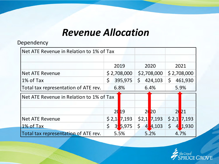| Net ATE Revenue in Relation to 1% of Tax |                        |                            |                      |  |
|------------------------------------------|------------------------|----------------------------|----------------------|--|
|                                          |                        |                            |                      |  |
|                                          | 2019                   | 2020                       | 2021                 |  |
| <b>Net ATE Revenue</b>                   | \$2,708,000            | \$2,708,000                | \$2,708,000          |  |
| 1% of Tax                                | \$<br>395,975          | $\zeta$<br>424,103         | \$<br>461,930        |  |
| Total tax representation of ATE rev.     | 6.8%                   | 6.4%                       | 5.9%                 |  |
| Net ATE Revenue in Relation to 1% of Tax |                        |                            |                      |  |
|                                          |                        |                            |                      |  |
|                                          | 2019                   | 2 <sub>0</sub><br>20       | $\overline{2}$<br>21 |  |
| <b>Net ATE Revenue</b>                   | \$2,1]<br>7,193        | \$2,1]<br>7,193            | \$2,1]<br>7,193      |  |
| 1% of Tax                                | \$<br>$3\sqrt{5}$ ,975 | $\varsigma$<br>4,103<br> 4 | \$<br>1,930<br>4     |  |
| Total tax representation of ATE rev.     | 5.5%                   | 5.2%                       | 4.7%                 |  |

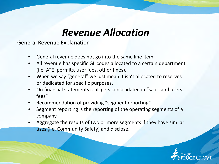General Revenue Explanation

- General revenue does not go into the same line item.
- All revenue has specific GL codes allocated to a certain department (i.e. ATE, permits, user fees, other fines).
- When we say "general" we just mean it isn't allocated to reserves or dedicated for specific purposes.
- On financial statements it all gets consolidated in "sales and users fees".
- Recommendation of providing "segment reporting".
- Segment reporting is the reporting of the operating segments of a company.
- Aggregate the results of two or more segments if they have similar uses (i.e. Community Safety) and disclose.

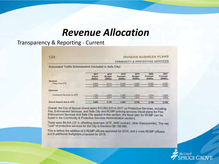#### Transparency & Reporting - Current

#### $124$

#### **DIVISION BUSINESS PLANS**

**COMMUNITY & PROTECTIVE SERVICES** 

Automated Traffic Enforcement (included in Safe City)

|                             | 2017<br>Actual<br>(5000s) | 2018<br><b>Budget</b><br>(5000s) | 2018<br>Forecast<br>(5000s) | 2019<br><b>Budget</b><br>$($ S000s $)$ | 2020<br>Forecast<br>(5000s) | 2021<br>Forecast<br>(5000s) |
|-----------------------------|---------------------------|----------------------------------|-----------------------------|----------------------------------------|-----------------------------|-----------------------------|
| Revenue<br>Fines from ATE   | 4,644                     | 5,213                            | 4.043                       | 4,522                                  | 4,522                       | 4,522                       |
|                             | 4,644                     | 5,213                            | 4,043                       | 4,522                                  | 4,522                       | 4,522                       |
| <b>Expenses</b>             |                           |                                  |                             |                                        |                             |                             |
| Contracted Services for ATE | 1,752                     | 2.474                            | 1,480                       | 1,814                                  | 1.814                       | 1,814                       |
|                             | 1.752                     | 2,474                            | 1,480                       | 1,814                                  | 1,814                       | 1,814                       |
| Annual Surplus due to ATE   | 2,892                     | 2,739                            | 2,563                       | 2,709                                  | 2.709                       | 2,709                       |

Overall, the City of Spruce Grove spent \$15,562,833 in 2017 on Protective Services, including Fire, Enforcement Services, and Safe City and RCMP policing services (fiscal plans for Fire, Enforcement Services and Safe City appear in this section; the fiscal plan for RCMP can be found in the Community & Protective Services Administration section).

There were \$9,404,237 in offsetting revenues (ATE, AHS contract, other fines/permits). The net "cost" of protective services for the City is therefore \$6,158,596.

This is before the addition of 2 RCMP officers approved for 2018, and 2 more RCMP officers and 8 additional firefighters proposed for 2019.

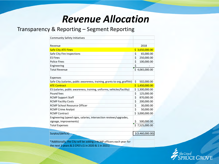#### Transparency & Reporting – Segment Reporting

| <b>Community Safety Initiatives</b>                                        |                    |
|----------------------------------------------------------------------------|--------------------|
|                                                                            |                    |
| Revenue                                                                    | 2018               |
| <b>Safe City ATE Fines</b>                                                 | \$3,650,000.00     |
| Safe City Fire Inspections                                                 | 65,000.00<br>\$    |
| <b>ES Fines</b>                                                            | \$<br>250,000.00   |
| <b>Police Fines</b>                                                        | \$<br>100,000.00   |
| Engineering                                                                | \$                 |
| <b>Total Revenue</b>                                                       | \$4,065,000.00     |
|                                                                            |                    |
| Expenses                                                                   |                    |
| Safe City (salaries, public awareness, training, grants to org, graffitti) | \$<br>502,000.00   |
| <b>ATE Contract</b>                                                        | \$1,450,000.00     |
| ES (salaries, public awareness, training, uniforms, vehicles/facility)     | 1,300,000.00<br>Ś. |
| Pound fees                                                                 | \$<br>125,000.00   |
| <b>RCMP Support Staff</b>                                                  | \$<br>870,000.00   |
| <b>RCMP Facility Costs</b>                                                 | \$<br>200,000.00   |
| <b>RCMP School Resource Officer</b>                                        | \$<br>30,000.00    |
| <b>RCMP Crime Analyst</b>                                                  | \$<br>50,000.00    |
| <b>RCMP Contract</b>                                                       | \$3,000,000.00     |
| Engineering (speed signs, salaries, intersection reviews/upgrades,         |                    |
| signage, improvements)                                                     | 500,000.00<br>\$   |
| <b>Total Expenses</b>                                                      | \$7,525,000.00     |
|                                                                            |                    |
| Surplus/(deficit)                                                          | $$$ (3,460,000.00) |
|                                                                            |                    |
| *Additionally, the City will be adding 2 RCMP officers each year for       |                    |
| the next 3 years & 2 CPO's (1 in 2020 & 1 in 2021)                         |                    |

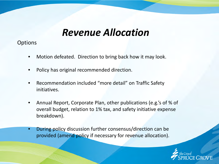**Options** 

- Motion defeated. Direction to bring back how it may look.
- Policy has original recommended direction.
- Recommendation included "more detail" on Traffic Safety initiatives.
- Annual Report, Corporate Plan, other publications (e.g.'s of % of overall budget, relation to 1% tax, and safety initiative expense breakdown).
- During policy discussion further consensus/direction can be provided (amend policy if necessary for revenue allocation).

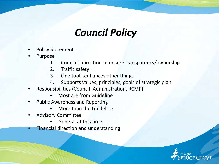## *Council Policy*

- Policy Statement
- **Purpose** 
	- 1. Council's direction to ensure transparency/ownership
	- 2. Traffic safety
	- 3. One tool…enhances other things
	- 4. Supports values, principles, goals of strategic plan
- Responsibilities (Council, Administration, RCMP)
	- Most are from Guideline
- Public Awareness and Reporting
	- More than the Guideline
- Advisory Committee
	- General at this time
- **Financial direction and understanding**